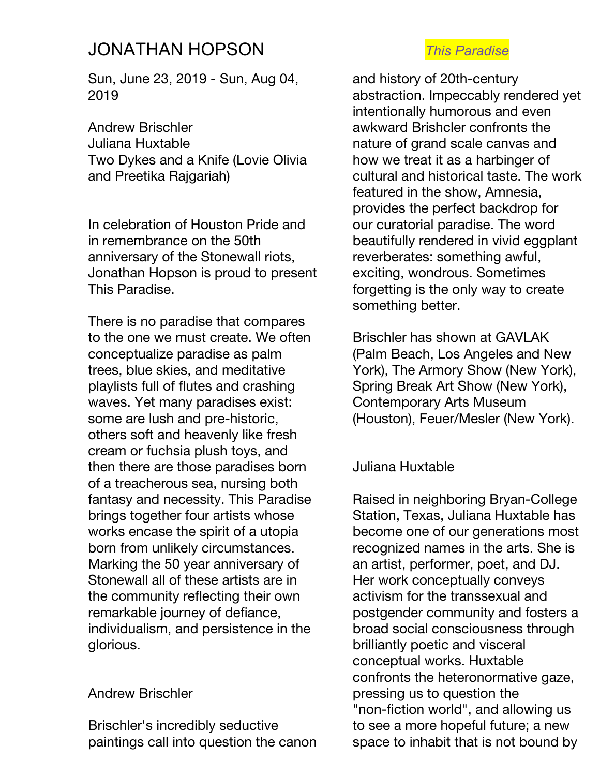# JONATHAN HOPSON *This Paradise*

Sun, June 23, 2019 - Sun, Aug 04, 2019

Andrew Brischler Juliana Huxtable Two Dykes and a Knife (Lovie Olivia and Preetika Rajgariah)

In celebration of Houston Pride and in remembrance on the 50th anniversary of the Stonewall riots, Jonathan Hopson is proud to present This Paradise.

There is no paradise that compares to the one we must create. We often conceptualize paradise as palm trees, blue skies, and meditative playlists full of flutes and crashing waves. Yet many paradises exist: some are lush and pre-historic, others soft and heavenly like fresh cream or fuchsia plush toys, and then there are those paradises born of a treacherous sea, nursing both fantasy and necessity. This Paradise brings together four artists whose works encase the spirit of a utopia born from unlikely circumstances. Marking the 50 year anniversary of Stonewall all of these artists are in the community reflecting their own remarkable journey of defiance, individualism, and persistence in the glorious.

### Andrew Brischler

Brischler's incredibly seductive paintings call into question the canon

and history of 20th-century abstraction. Impeccably rendered yet intentionally humorous and even awkward Brishcler confronts the nature of grand scale canvas and how we treat it as a harbinger of cultural and historical taste. The work featured in the show, Amnesia, provides the perfect backdrop for our curatorial paradise. The word beautifully rendered in vivid eggplant reverberates: something awful, exciting, wondrous. Sometimes forgetting is the only way to create something better.

Brischler has shown at GAVLAK (Palm Beach, Los Angeles and New York), The Armory Show (New York), Spring Break Art Show (New York), Contemporary Arts Museum (Houston), Feuer/Mesler (New York).

### Juliana Huxtable

Raised in neighboring Bryan-College Station, Texas, Juliana Huxtable has become one of our generations most recognized names in the arts. She is an artist, performer, poet, and DJ. Her work conceptually conveys activism for the transsexual and postgender community and fosters a broad social consciousness through brilliantly poetic and visceral conceptual works. Huxtable confronts the heteronormative gaze, pressing us to question the "non-fiction world", and allowing us to see a more hopeful future; a new space to inhabit that is not bound by